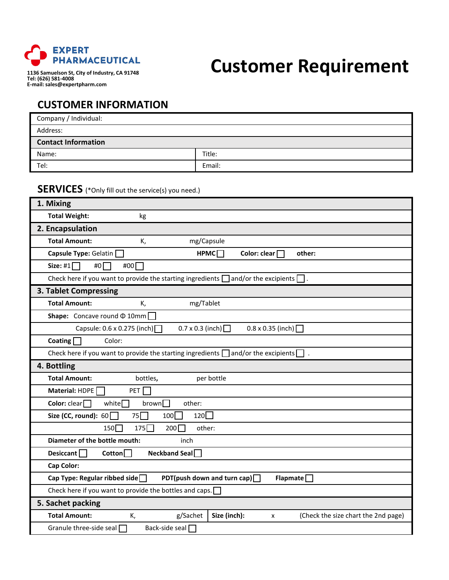

## **Customer Requirement**

**1136 Samuelson St, City of Industry, CA 91748 Tel: (626) 581-4008 E-mail: sales@expertpharm.com**

## **CUSTOMER INFORMATION**

| Company / Individual:      |        |  |  |
|----------------------------|--------|--|--|
| Address:                   |        |  |  |
| <b>Contact Information</b> |        |  |  |
| Name:                      | Title: |  |  |
| Tel:                       | Email: |  |  |

## **SERVICES** (\*Only fill out the service(s) you need.)

| 1. Mixing                                                                                          |  |  |  |  |  |
|----------------------------------------------------------------------------------------------------|--|--|--|--|--|
| <b>Total Weight:</b><br>kg                                                                         |  |  |  |  |  |
| 2. Encapsulation                                                                                   |  |  |  |  |  |
| <b>Total Amount:</b><br>mg/Capsule<br>К,                                                           |  |  |  |  |  |
| HPMC<br>Capsule Type: Gelatin [<br>Color: clear [<br>other:                                        |  |  |  |  |  |
| Size: #1 $\Box$<br>#0 $\Gamma$<br>#00 $\Gamma$                                                     |  |  |  |  |  |
| Check here if you want to provide the starting ingredients $\Box$ and/or the excipients $\Box$     |  |  |  |  |  |
| 3. Tablet Compressing                                                                              |  |  |  |  |  |
| <b>Total Amount:</b><br>mg/Tablet<br>К,                                                            |  |  |  |  |  |
| <b>Shape:</b> Concave round $\Phi$ 10mm                                                            |  |  |  |  |  |
| $0.7 \times 0.3$ (inch) $\Box$<br>Capsule: 0.6 x 0.275 (inch)<br>$0.8 \times 0.35$ (inch)          |  |  |  |  |  |
| Color:<br>Coating $\overline{ }$                                                                   |  |  |  |  |  |
| Check here if you want to provide the starting ingredients $\Box$ and/or the excipients $\Box$ .   |  |  |  |  |  |
| 4. Bottling                                                                                        |  |  |  |  |  |
| <b>Total Amount:</b><br>bottles,<br>per bottle                                                     |  |  |  |  |  |
| Material: HDPE<br>PET                                                                              |  |  |  |  |  |
| Color: $clear$<br>white $\Box$<br>brown<br>other:                                                  |  |  |  |  |  |
| 120<br>Size (CC, round): $60$<br>75<br>$100\Box$                                                   |  |  |  |  |  |
| $150\Box$<br>$175\Box$<br>200<br>other:                                                            |  |  |  |  |  |
| Diameter of the bottle mouth:<br>inch                                                              |  |  |  |  |  |
| <b>Neckband Seal</b><br>Desiccant $\Box$<br>$\mathsf{Cotton}$                                      |  |  |  |  |  |
| Cap Color:                                                                                         |  |  |  |  |  |
| PDT(push down and turn cap) $\Box$<br>Flapmate<br>Cap Type: Regular ribbed side $\Box$             |  |  |  |  |  |
| Check here if you want to provide the bottles and caps. $\square$                                  |  |  |  |  |  |
| 5. Sachet packing                                                                                  |  |  |  |  |  |
| <b>Total Amount:</b><br>Size (inch):<br>(Check the size chart the 2nd page)<br>K,<br>g/Sachet<br>x |  |  |  |  |  |
| Granule three-side seal<br>Back-side seal $\Box$                                                   |  |  |  |  |  |